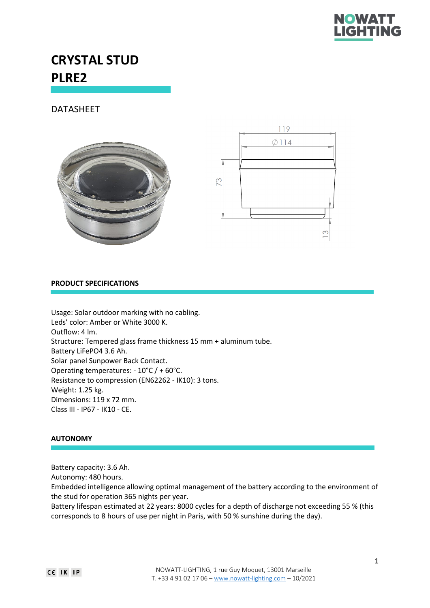

# **CRYSTAL STUD PLRE2**

DATASHEET





### **PRODUCT SPECIFICATIONS**

Usage: Solar outdoor marking with no cabling. Leds' color: Amber or White 3000 K. Outflow: 4 lm. Structure: Tempered glass frame thickness 15 mm + aluminum tube. Battery LiFePO4 3.6 Ah. Solar panel Sunpower Back Contact. Operating temperatures: - 10°C / + 60°C. Resistance to compression (EN62262 - IK10): 3 tons. Weight: 1.25 kg. Dimensions: 119 x 72 mm. Class III - IP67 - IK10 - CE.

### **AUTONOMY**

Battery capacity: 3.6 Ah.

Autonomy: 480 hours.

Embedded intelligence allowing optimal management of the battery according to the environment of the stud for operation 365 nights per year.

Battery lifespan estimated at 22 years: 8000 cycles for a depth of discharge not exceeding 55 % (this corresponds to 8 hours of use per night in Paris, with 50 % sunshine during the day).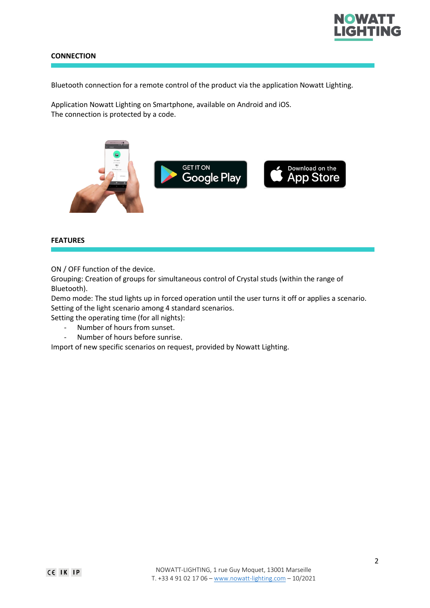

## **CONNECTION**

Bluetooth connection for a remote control of the product via the application Nowatt Lighting.

Application Nowatt Lighting on Smartphone, available on Android and iOS. The connection is protected by a code.



### **FEATURES**

ON / OFF function of the device.

Grouping: Creation of groups for simultaneous control of Crystal studs (within the range of Bluetooth).

Demo mode: The stud lights up in forced operation until the user turns it off or applies a scenario. Setting of the light scenario among 4 standard scenarios.

Setting the operating time (for all nights):

- Number of hours from sunset.
- Number of hours before sunrise.

Import of new specific scenarios on request, provided by Nowatt Lighting.